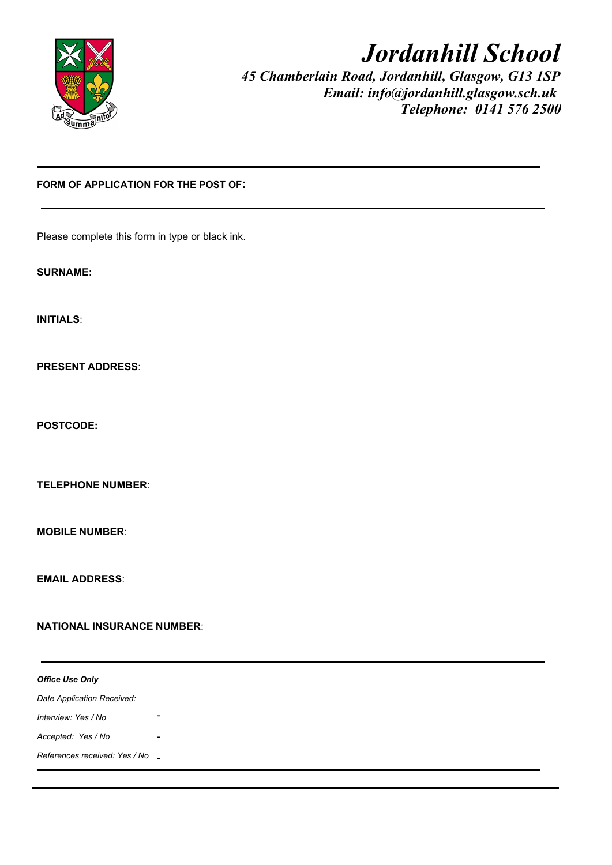

# *Jordanhill School*

*45 Chamberlain Road, Jordanhill, Glasgow, G13 1SP Email: info@jordanhill.glasgow.sch.uk Telephone: 0141 576 2500*

## **FORM OF APPLICATION FOR THE POST OF:**

Please complete this form in type or black ink.

**SURNAME:** 

**INITIALS**:

**PRESENT ADDRESS**:

**POSTCODE:**

**TELEPHONE NUMBER**:

**MOBILE NUMBER**:

**EMAIL ADDRESS**:

#### **NATIONAL INSURANCE NUMBER**:

*Office Use Only Date Application Received: Interview: Yes / No Accepted: Yes / No References received: Yes / No* -- -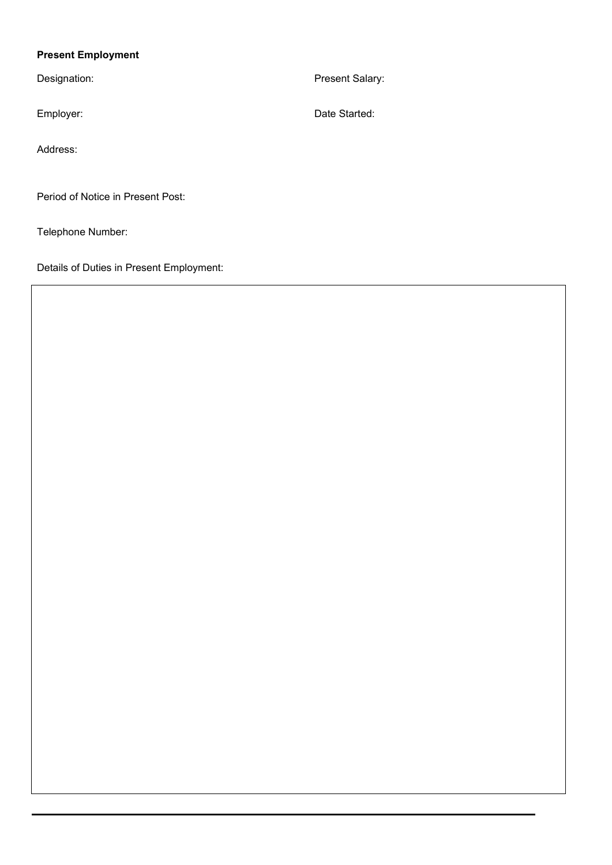# **Present Employment**

Address:

Period of Notice in Present Post:

Telephone Number:

Details of Duties in Present Employment:

Designation: Present Salary:

Employer: Contract Contract Contract Contract Contract Contract Contract Contract Contract Contract Contract Contract Contract Contract Contract Contract Contract Contract Contract Contract Contract Contract Contract Contr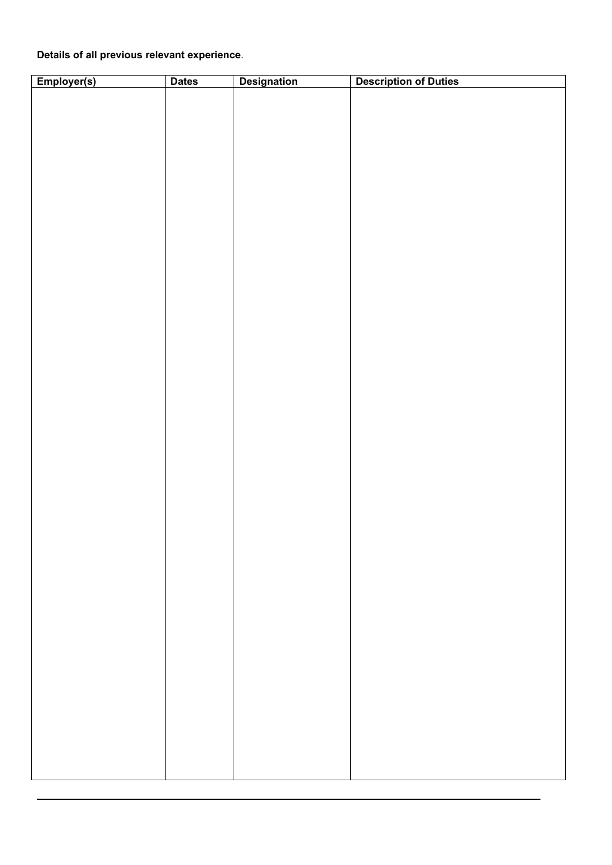# **Details of all previous relevant experience**.

| Employer(s) | <b>Dates</b> | <b>Designation</b> | <b>Description of Duties</b> |
|-------------|--------------|--------------------|------------------------------|
|             |              |                    |                              |
|             |              |                    |                              |
|             |              |                    |                              |
|             |              |                    |                              |
|             |              |                    |                              |
|             |              |                    |                              |
|             |              |                    |                              |
|             |              |                    |                              |
|             |              |                    |                              |
|             |              |                    |                              |
|             |              |                    |                              |
|             |              |                    |                              |
|             |              |                    |                              |
|             |              |                    |                              |
|             |              |                    |                              |
|             |              |                    |                              |
|             |              |                    |                              |
|             |              |                    |                              |
|             |              |                    |                              |
|             |              |                    |                              |
|             |              |                    |                              |
|             |              |                    |                              |
|             |              |                    |                              |
|             |              |                    |                              |
|             |              |                    |                              |
|             |              |                    |                              |
|             |              |                    |                              |
|             |              |                    |                              |
|             |              |                    |                              |
|             |              |                    |                              |
|             |              |                    |                              |
|             |              |                    |                              |
|             |              |                    |                              |
|             |              |                    |                              |
|             |              |                    |                              |
|             |              |                    |                              |
|             |              |                    |                              |
|             |              |                    |                              |
|             |              |                    |                              |
|             |              |                    |                              |
|             |              |                    |                              |
|             |              |                    |                              |
|             |              |                    |                              |
|             |              |                    |                              |
|             |              |                    |                              |
|             |              |                    |                              |
|             |              |                    |                              |
|             |              |                    |                              |
|             |              |                    |                              |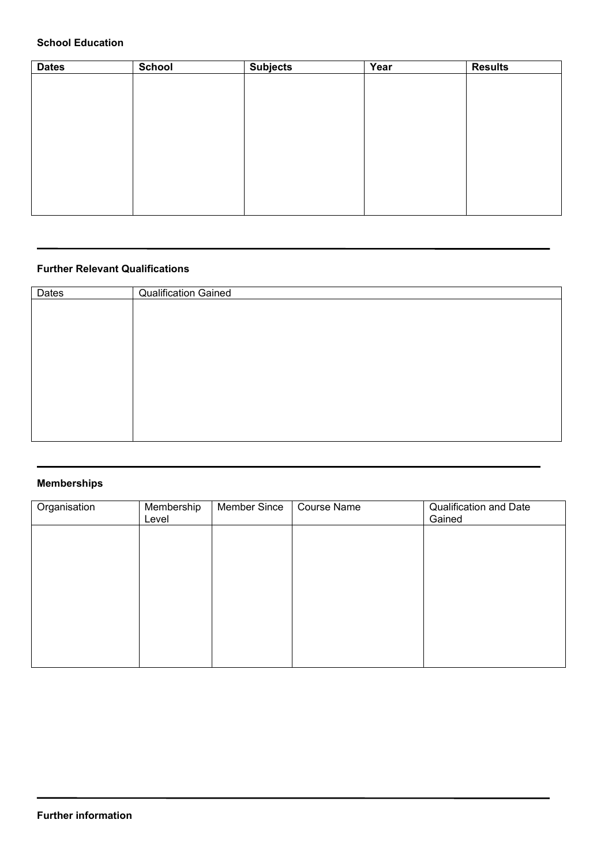## **School Education**

| <b>Dates</b> | <b>School</b> | <b>Subjects</b> | Year | <b>Results</b> |
|--------------|---------------|-----------------|------|----------------|
|              |               |                 |      |                |
|              |               |                 |      |                |
|              |               |                 |      |                |
|              |               |                 |      |                |
|              |               |                 |      |                |
|              |               |                 |      |                |
|              |               |                 |      |                |
|              |               |                 |      |                |
|              |               |                 |      |                |
|              |               |                 |      |                |

### **Further Relevant Qualifications**

| Qualification Gained |
|----------------------|
|                      |
|                      |
|                      |
|                      |
|                      |
|                      |
|                      |
|                      |
|                      |
|                      |

## **Memberships**

| Organisation | Membership<br>Level | <b>Member Since</b> | <b>Course Name</b> | <b>Qualification and Date</b><br>Gained |
|--------------|---------------------|---------------------|--------------------|-----------------------------------------|
|              |                     |                     |                    |                                         |
|              |                     |                     |                    |                                         |
|              |                     |                     |                    |                                         |
|              |                     |                     |                    |                                         |
|              |                     |                     |                    |                                         |
|              |                     |                     |                    |                                         |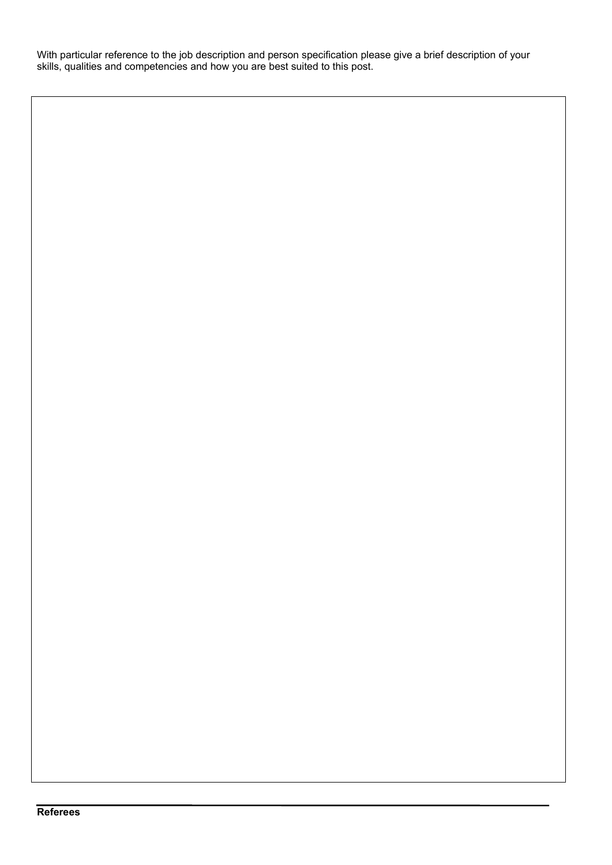With particular reference to the job description and person specification please give a brief description of your skills, qualities and competencies and how you are best suited to this post.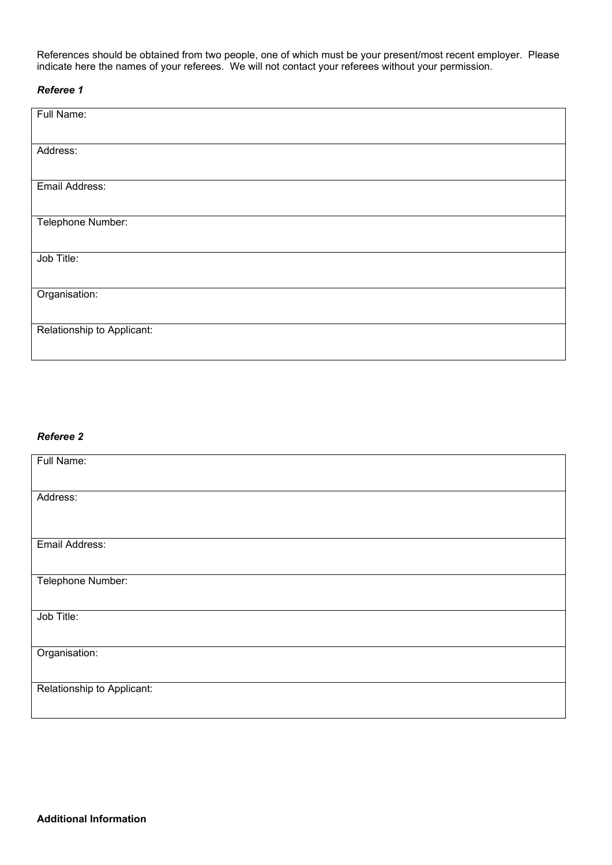References should be obtained from two people, one of which must be your present/most recent employer. Please indicate here the names of your referees. We will not contact your referees without your permission.

#### *Referee 1*

| Full Name:                 |  |
|----------------------------|--|
|                            |  |
| Address:                   |  |
| Email Address:             |  |
|                            |  |
| Telephone Number:          |  |
|                            |  |
| Job Title:                 |  |
| Organisation:              |  |
|                            |  |
| Relationship to Applicant: |  |

#### *Referee 2*

| Full Name:                 |
|----------------------------|
|                            |
| Address:                   |
|                            |
| Email Address:             |
|                            |
|                            |
| Telephone Number:          |
|                            |
| Job Title:                 |
|                            |
| Organisation:              |
|                            |
| Relationship to Applicant: |
|                            |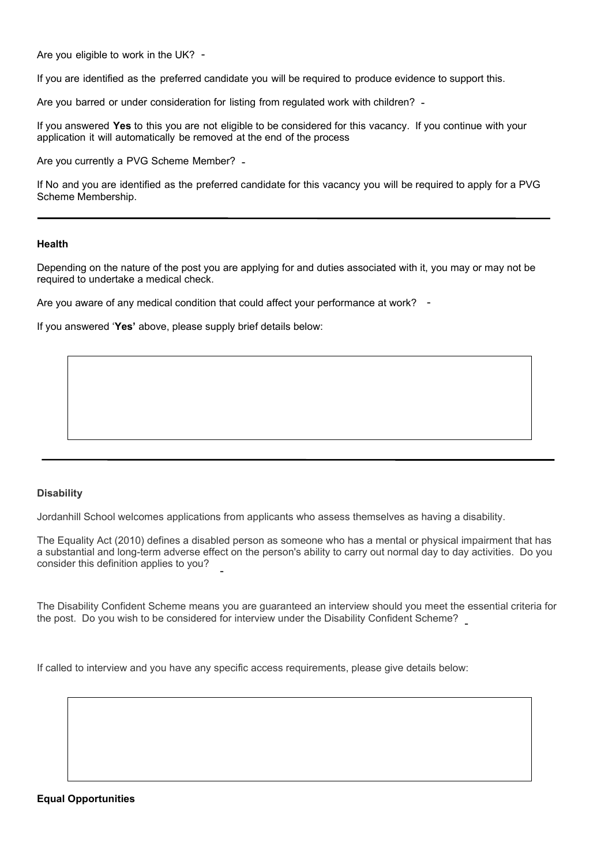Are you eligible to work in the UK? -

If you are identified as the preferred candidate you will be required to produce evidence to support this.

Are you barred or under consideration for listing from regulated work with children? -

If you answered **Yes** to this you are not eligible to be considered for this vacancy. If you continue with your application it will automatically be removed at the end of the process

Are you currently a PVG Scheme Member? -

If No and you are identified as the preferred candidate for this vacancy you will be required to apply for a PVG Scheme Membership.

#### **Health**

Depending on the nature of the post you are applying for and duties associated with it, you may or may not be required to undertake a medical check.

Are you aware of any medical condition that could affect your performance at work? -

If you answered '**Yes'** above, please supply brief details below:

#### **Disability**

Jordanhill School welcomes applications from applicants who assess themselves as having a disability.

The Equality Act (2010) defines a disabled person as someone who has a mental or physical impairment that has a substantial and long-term adverse effect on the person's ability to carry out normal day to day activities. Do you consider this definition applies to you? -

The Disability Confident Scheme means you are guaranteed an interview should you meet the essential criteria for the post. Do you wish to be considered for interview under the Disability Confident Scheme? -

If called to interview and you have any specific access requirements, please give details below:

#### **Equal Opportunities**